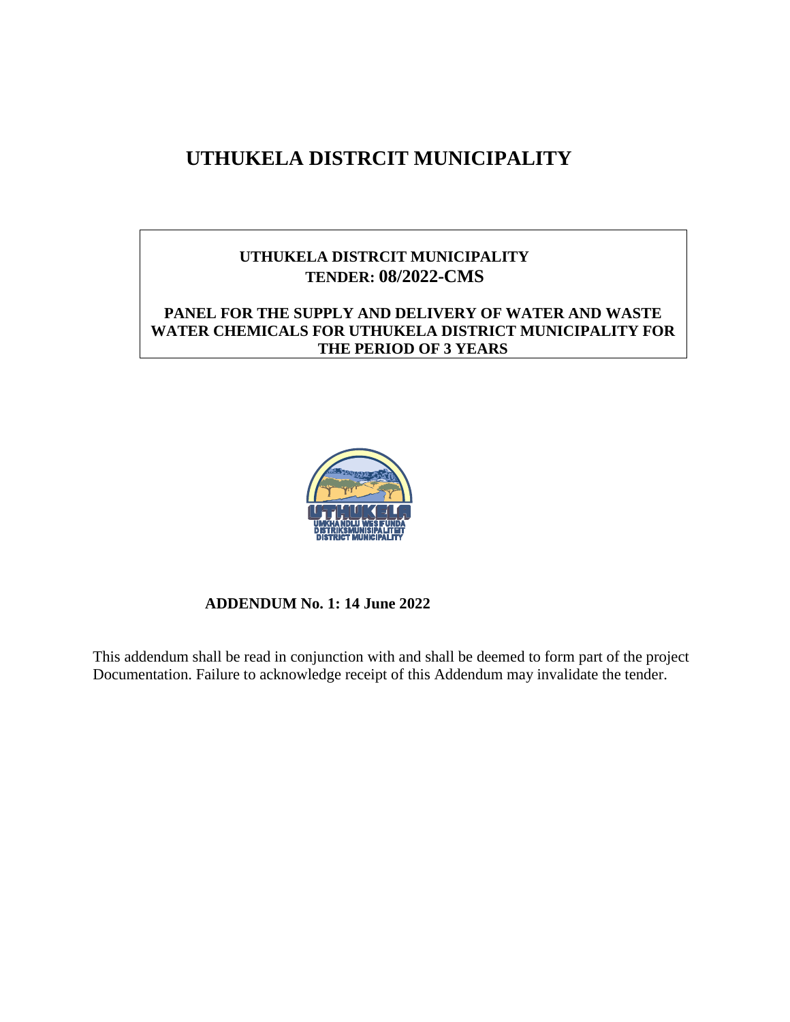# **UTHUKELA DISTRCIT MUNICIPALITY**

# **UTHUKELA DISTRCIT MUNICIPALITY TENDER: 08/2022-CMS**

## **PANEL FOR THE SUPPLY AND DELIVERY OF WATER AND WASTE WATER CHEMICALS FOR UTHUKELA DISTRICT MUNICIPALITY FOR THE PERIOD OF 3 YEARS**



## **ADDENDUM No. 1: 14 June 2022**

This addendum shall be read in conjunction with and shall be deemed to form part of the project Documentation. Failure to acknowledge receipt of this Addendum may invalidate the tender.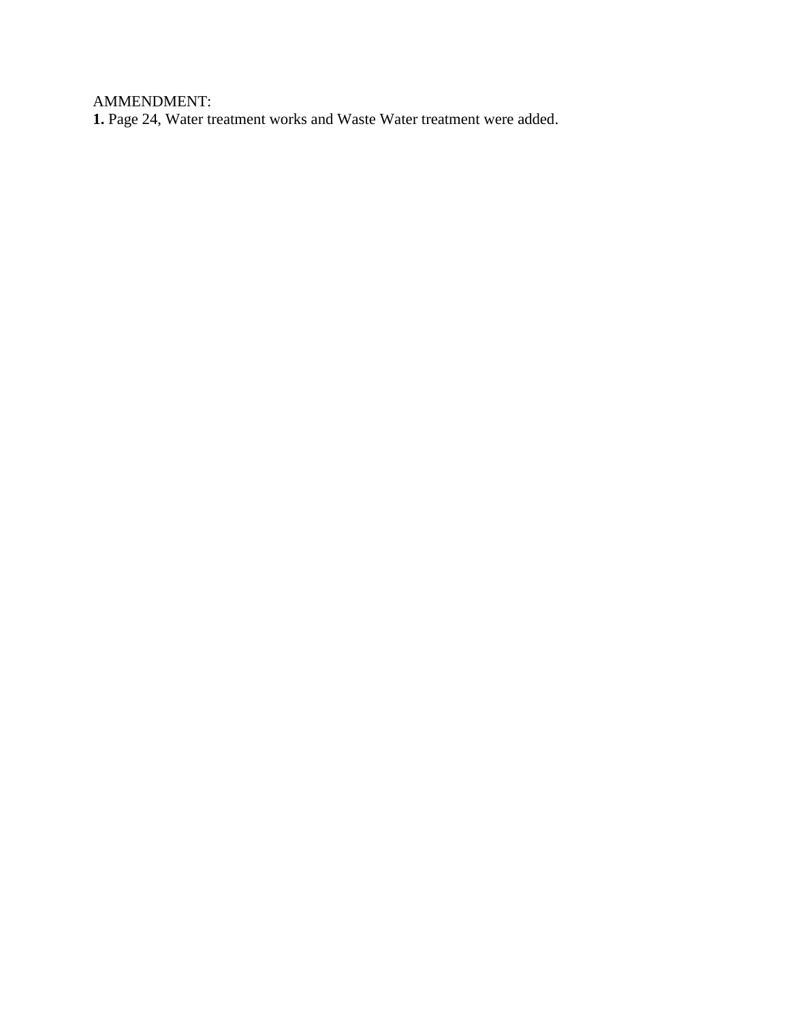AMMENDMENT:

**1.** Page 24, Water treatment works and Waste Water treatment were added.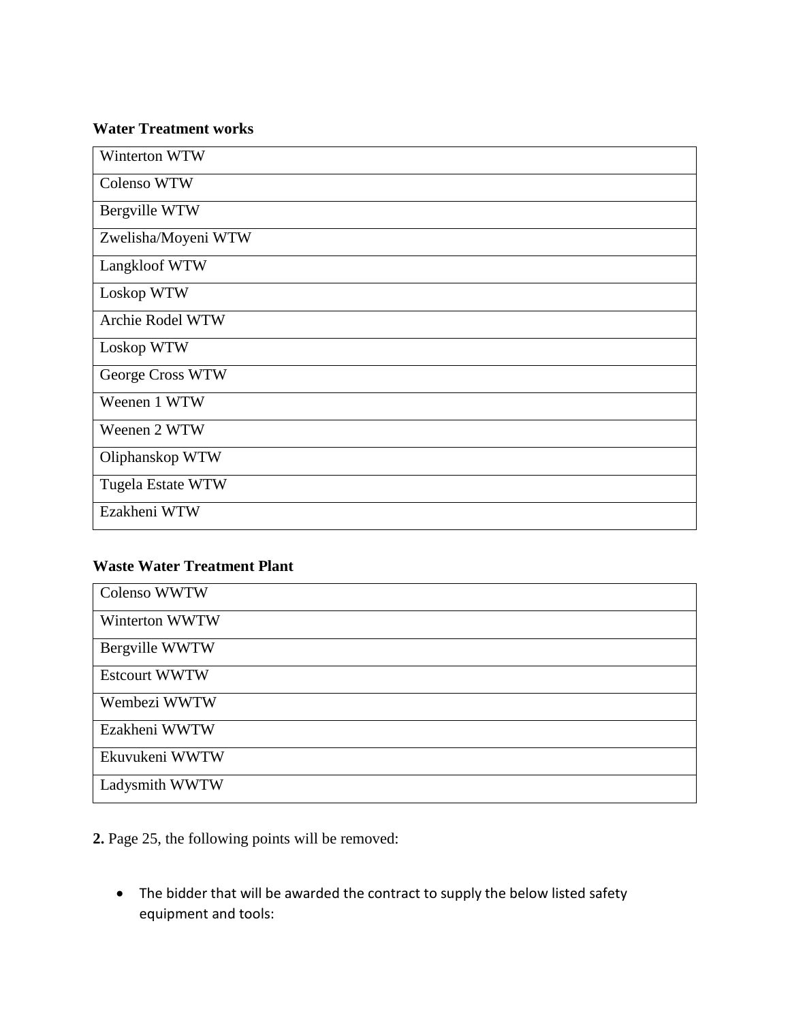#### **Water Treatment works**

| Winterton WTW       |
|---------------------|
| Colenso WTW         |
| Bergville WTW       |
| Zwelisha/Moyeni WTW |
| Langkloof WTW       |
| Loskop WTW          |
| Archie Rodel WTW    |
| Loskop WTW          |
| George Cross WTW    |
| Weenen 1 WTW        |
| Weenen 2 WTW        |
| Oliphanskop WTW     |
| Tugela Estate WTW   |
| Ezakheni WTW        |

# **Waste Water Treatment Plant**

| Colenso WWTW         |
|----------------------|
| Winterton WWTW       |
| Bergville WWTW       |
| <b>Estcourt WWTW</b> |
| Wembezi WWTW         |
| Ezakheni WWTW        |
| Ekuvukeni WWTW       |
| Ladysmith WWTW       |

**2.** Page 25, the following points will be removed:

• The bidder that will be awarded the contract to supply the below listed safety equipment and tools: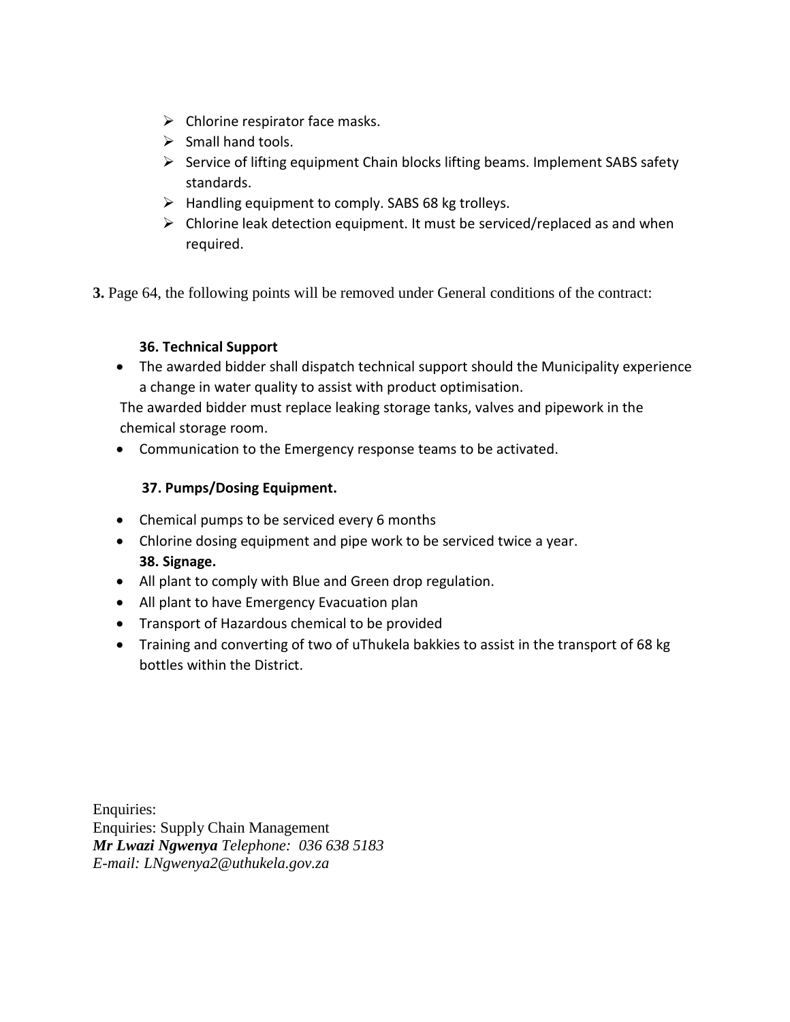- $\triangleright$  Chlorine respirator face masks.
- $\triangleright$  Small hand tools.
- $\triangleright$  Service of lifting equipment Chain blocks lifting beams. Implement SABS safety standards.
- $\triangleright$  Handling equipment to comply. SABS 68 kg trolleys.
- $\triangleright$  Chlorine leak detection equipment. It must be serviced/replaced as and when required.

**3.** Page 64, the following points will be removed under General conditions of the contract:

## **36. Technical Support**

 The awarded bidder shall dispatch technical support should the Municipality experience a change in water quality to assist with product optimisation.

The awarded bidder must replace leaking storage tanks, valves and pipework in the chemical storage room.

Communication to the Emergency response teams to be activated.

## **37. Pumps/Dosing Equipment.**

- Chemical pumps to be serviced every 6 months
- Chlorine dosing equipment and pipe work to be serviced twice a year. **38. Signage.**
- All plant to comply with Blue and Green drop regulation.
- All plant to have Emergency Evacuation plan
- Transport of Hazardous chemical to be provided
- Training and converting of two of uThukela bakkies to assist in the transport of 68 kg bottles within the District.

Enquiries: Enquiries: Supply Chain Management *Mr Lwazi Ngwenya Telephone: 036 638 5183 E-mail: LNgwenya2@uthukela.gov.za*